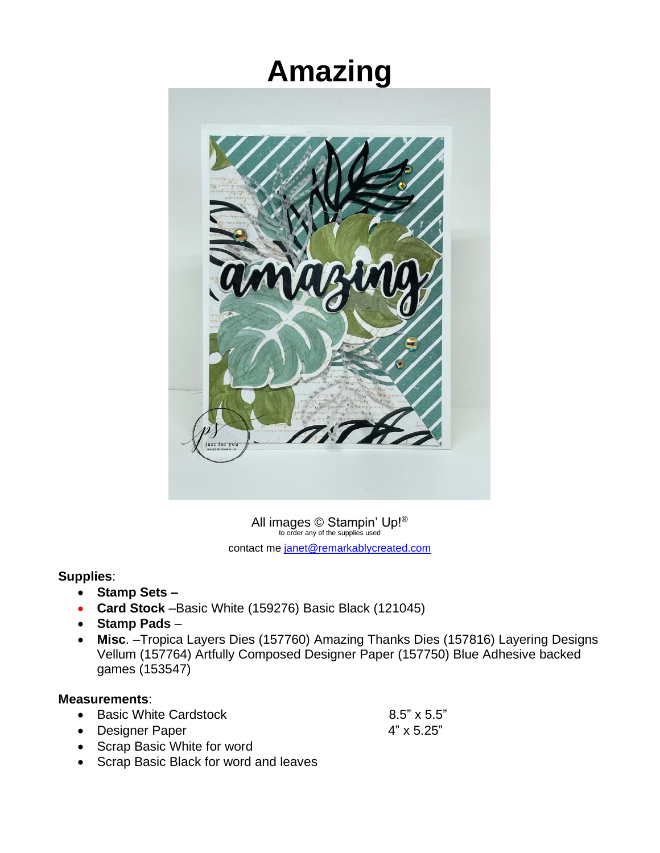## **Amazing**



All images  $\bigcirc$  Stampin' Up!<sup>®</sup> contact me [janet@remarkablycreated.com](mailto:janet@remarkablycreated.com)

## **Supplies**:

- **Stamp Sets** *–*
- **Card Stock** –Basic White (159276) Basic Black (121045)
- **Stamp Pads** –
- **Misc**. –Tropica Layers Dies (157760) Amazing Thanks Dies (157816) Layering Designs Vellum (157764) Artfully Composed Designer Paper (157750) Blue Adhesive backed games (153547)

## **Measurements**:

• Basic White Cardstock 6.5" x 5.5"

- Designer Paper 4" x 5.25"
- Scrap Basic White for word
- Scrap Basic Black for word and leaves